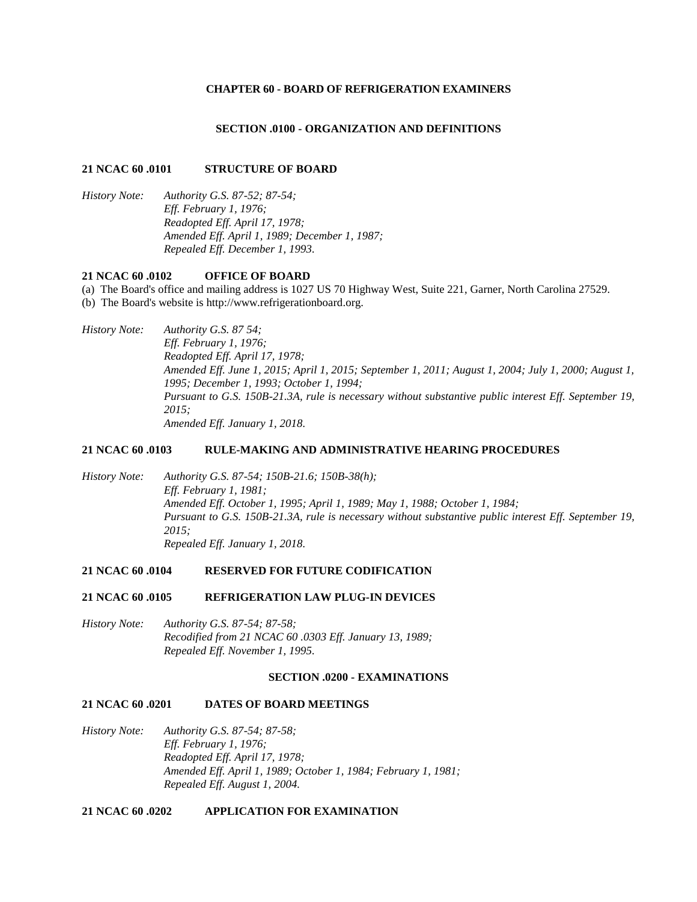#### **CHAPTER 60 - BOARD OF REFRIGERATION EXAMINERS**

#### **SECTION .0100 - ORGANIZATION AND DEFINITIONS**

#### **21 NCAC 60 .0101 STRUCTURE OF BOARD**

*History Note: Authority G.S. 87-52; 87-54; Eff. February 1, 1976; Readopted Eff. April 17, 1978; Amended Eff. April 1, 1989; December 1, 1987; Repealed Eff. December 1, 1993.*

### **21 NCAC 60 .0102 OFFICE OF BOARD**

(a) The Board's office and mailing address is 1027 US 70 Highway West, Suite 221, Garner, North Carolina 27529. (b) The Board's website is http://www.refrigerationboard.org.

# *History Note: Authority G.S. 87 54; Eff. February 1, 1976; Readopted Eff. April 17, 1978; Amended Eff. June 1, 2015; April 1, 2015; September 1, 2011; August 1, 2004; July 1, 2000; August 1, 1995; December 1, 1993; October 1, 1994; Pursuant to G.S. 150B-21.3A, rule is necessary without substantive public interest Eff. September 19, 2015; Amended Eff. January 1, 2018.*

#### **21 NCAC 60 .0103 RULE-MAKING AND ADMINISTRATIVE HEARING PROCEDURES**

*History Note: Authority G.S. 87-54; 150B-21.6; 150B-38(h); Eff. February 1, 1981; Amended Eff. October 1, 1995; April 1, 1989; May 1, 1988; October 1, 1984; Pursuant to G.S. 150B-21.3A, rule is necessary without substantive public interest Eff. September 19, 2015; Repealed Eff. January 1, 2018.*

#### **21 NCAC 60 .0104 RESERVED FOR FUTURE CODIFICATION**

#### **21 NCAC 60 .0105 REFRIGERATION LAW PLUG-IN DEVICES**

*History Note: Authority G.S. 87-54; 87-58; Recodified from 21 NCAC 60 .0303 Eff. January 13, 1989; Repealed Eff. November 1, 1995.*

#### **SECTION .0200 - EXAMINATIONS**

### **21 NCAC 60 .0201 DATES OF BOARD MEETINGS**

*History Note: Authority G.S. 87-54; 87-58; Eff. February 1, 1976; Readopted Eff. April 17, 1978; Amended Eff. April 1, 1989; October 1, 1984; February 1, 1981; Repealed Eff. August 1, 2004.*

#### **21 NCAC 60 .0202 APPLICATION FOR EXAMINATION**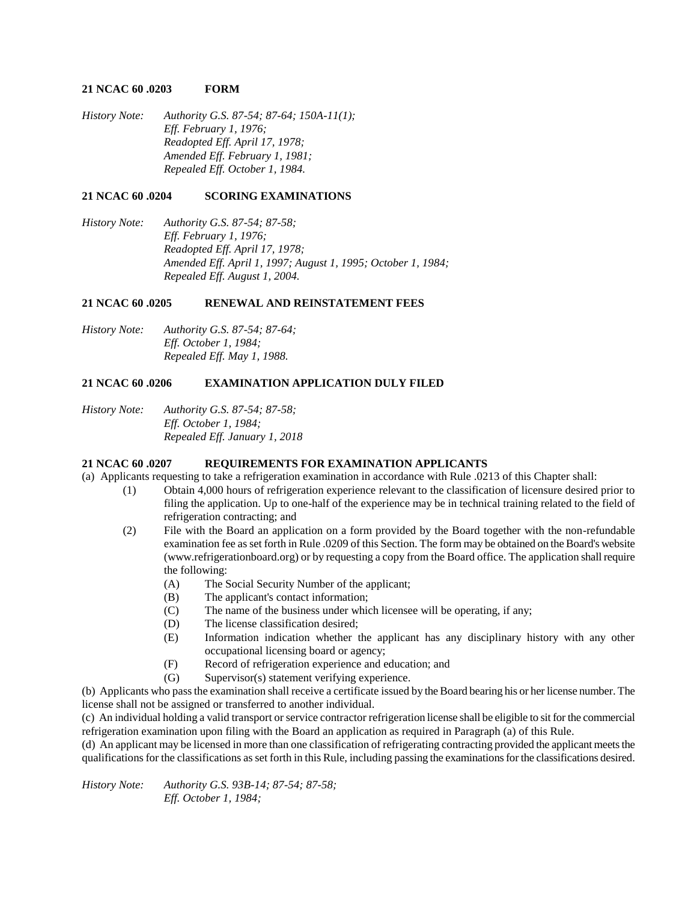### **21 NCAC 60 .0203 FORM**

*History Note: Authority G.S. 87-54; 87-64; 150A-11(1); Eff. February 1, 1976; Readopted Eff. April 17, 1978; Amended Eff. February 1, 1981; Repealed Eff. October 1, 1984.*

## **21 NCAC 60 .0204 SCORING EXAMINATIONS**

*History Note: Authority G.S. 87-54; 87-58; Eff. February 1, 1976; Readopted Eff. April 17, 1978; Amended Eff. April 1, 1997; August 1, 1995; October 1, 1984; Repealed Eff. August 1, 2004.*

## **21 NCAC 60 .0205 RENEWAL AND REINSTATEMENT FEES**

*History Note: Authority G.S. 87-54; 87-64; Eff. October 1, 1984; Repealed Eff. May 1, 1988.*

## **21 NCAC 60 .0206 EXAMINATION APPLICATION DULY FILED**

*History Note: Authority G.S. 87-54; 87-58; Eff. October 1, 1984; Repealed Eff. January 1, 2018*

# **21 NCAC 60 .0207 REQUIREMENTS FOR EXAMINATION APPLICANTS**

(a) Applicants requesting to take a refrigeration examination in accordance with Rule .0213 of this Chapter shall:

- (1) Obtain 4,000 hours of refrigeration experience relevant to the classification of licensure desired prior to filing the application. Up to one-half of the experience may be in technical training related to the field of refrigeration contracting; and
- (2) File with the Board an application on a form provided by the Board together with the non-refundable examination fee as set forth in Rule .0209 of this Section. The form may be obtained on the Board's website (www.refrigerationboard.org) or by requesting a copy from the Board office. The application shall require the following:
	- (A) The Social Security Number of the applicant;
	- (B) The applicant's contact information;
	- (C) The name of the business under which licensee will be operating, if any;
	- (D) The license classification desired;
	- (E) Information indication whether the applicant has any disciplinary history with any other occupational licensing board or agency;
	- (F) Record of refrigeration experience and education; and
	- (G) Supervisor(s) statement verifying experience.

(b) Applicants who pass the examination shall receive a certificate issued by the Board bearing his or her license number. The license shall not be assigned or transferred to another individual.

(c) An individual holding a valid transport or service contractor refrigeration license shall be eligible to sit for the commercial refrigeration examination upon filing with the Board an application as required in Paragraph (a) of this Rule.

(d) An applicant may be licensed in more than one classification of refrigerating contracting provided the applicant meets the qualifications for the classifications as set forth in this Rule, including passing the examinations for the classifications desired.

*History Note: Authority G.S. 93B-14; 87-54; 87-58; Eff. October 1, 1984;*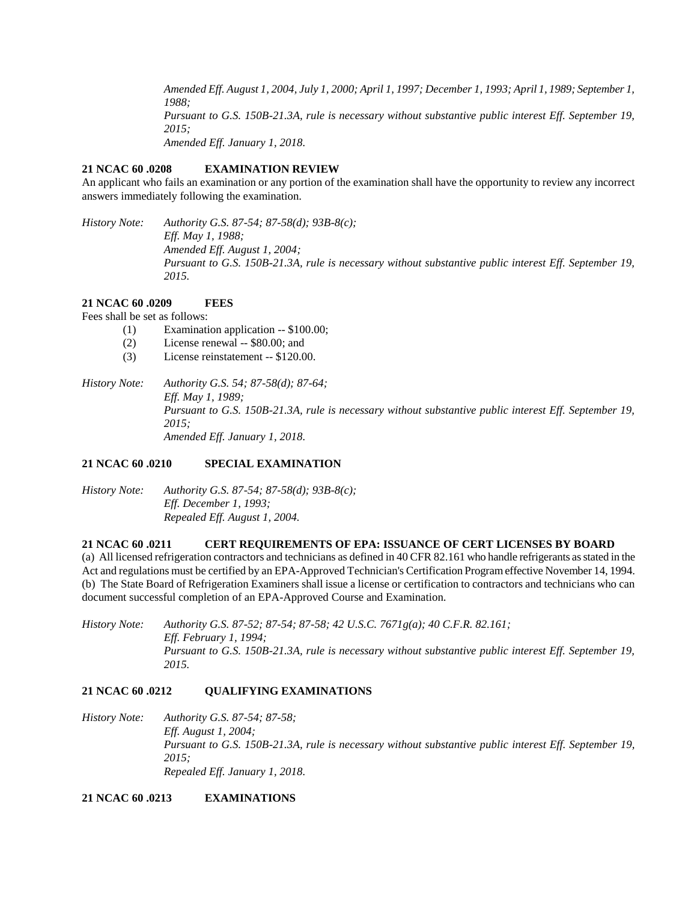*Amended Eff. August 1, 2004, July 1, 2000; April 1, 1997; December 1, 1993; April 1, 1989; September 1, 1988; Pursuant to G.S. 150B-21.3A, rule is necessary without substantive public interest Eff. September 19, 2015; Amended Eff. January 1, 2018.*

# **21 NCAC 60 .0208 EXAMINATION REVIEW**

An applicant who fails an examination or any portion of the examination shall have the opportunity to review any incorrect answers immediately following the examination.

*History Note: Authority G.S. 87-54; 87-58(d); 93B-8(c); Eff. May 1, 1988; Amended Eff. August 1, 2004; Pursuant to G.S. 150B-21.3A, rule is necessary without substantive public interest Eff. September 19, 2015.*

# **21 NCAC 60 .0209 FEES**

Fees shall be set as follows:

- (1) Examination application -- \$100.00;
- (2) License renewal -- \$80.00; and
- (3) License reinstatement -- \$120.00.

*History Note: Authority G.S. 54; 87-58(d); 87-64; Eff. May 1, 1989; Pursuant to G.S. 150B-21.3A, rule is necessary without substantive public interest Eff. September 19, 2015; Amended Eff. January 1, 2018.*

# **21 NCAC 60 .0210 SPECIAL EXAMINATION**

*History Note: Authority G.S. 87-54; 87-58(d); 93B-8(c); Eff. December 1, 1993; Repealed Eff. August 1, 2004.*

## **21 NCAC 60 .0211 CERT REQUIREMENTS OF EPA: ISSUANCE OF CERT LICENSES BY BOARD**

(a) All licensed refrigeration contractors and technicians as defined in 40 CFR 82.161 who handle refrigerants as stated in the Act and regulations must be certified by an EPA-Approved Technician's Certification Program effective November 14, 1994. (b) The State Board of Refrigeration Examiners shall issue a license or certification to contractors and technicians who can document successful completion of an EPA-Approved Course and Examination.

*History Note: Authority G.S. 87-52; 87-54; 87-58; 42 U.S.C. 7671g(a); 40 C.F.R. 82.161; Eff. February 1, 1994; Pursuant to G.S. 150B-21.3A, rule is necessary without substantive public interest Eff. September 19, 2015.*

# **21 NCAC 60 .0212 QUALIFYING EXAMINATIONS**

*History Note: Authority G.S. 87-54; 87-58; Eff. August 1, 2004; Pursuant to G.S. 150B-21.3A, rule is necessary without substantive public interest Eff. September 19, 2015; Repealed Eff. January 1, 2018.*

**21 NCAC 60 .0213 EXAMINATIONS**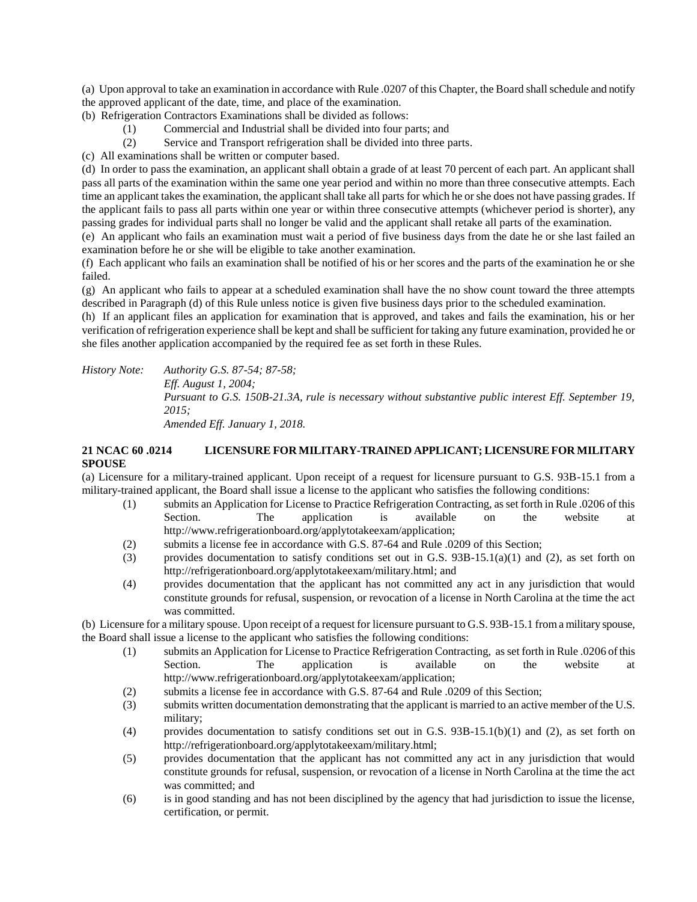(a) Upon approval to take an examination in accordance with Rule .0207 of this Chapter, the Board shall schedule and notify the approved applicant of the date, time, and place of the examination.

- (b) Refrigeration Contractors Examinations shall be divided as follows:
	- (1) Commercial and Industrial shall be divided into four parts; and
	- (2) Service and Transport refrigeration shall be divided into three parts.
- (c) All examinations shall be written or computer based.

(d) In order to pass the examination, an applicant shall obtain a grade of at least 70 percent of each part. An applicant shall pass all parts of the examination within the same one year period and within no more than three consecutive attempts. Each time an applicant takes the examination, the applicant shall take all parts for which he or she does not have passing grades. If the applicant fails to pass all parts within one year or within three consecutive attempts (whichever period is shorter), any passing grades for individual parts shall no longer be valid and the applicant shall retake all parts of the examination.

(e) An applicant who fails an examination must wait a period of five business days from the date he or she last failed an examination before he or she will be eligible to take another examination.

(f) Each applicant who fails an examination shall be notified of his or her scores and the parts of the examination he or she failed.

(g) An applicant who fails to appear at a scheduled examination shall have the no show count toward the three attempts described in Paragraph (d) of this Rule unless notice is given five business days prior to the scheduled examination.

(h) If an applicant files an application for examination that is approved, and takes and fails the examination, his or her verification of refrigeration experience shall be kept and shall be sufficient for taking any future examination, provided he or she files another application accompanied by the required fee as set forth in these Rules.

*History Note: Authority G.S. 87-54; 87-58; Eff. August 1, 2004; Pursuant to G.S. 150B-21.3A, rule is necessary without substantive public interest Eff. September 19, 2015; Amended Eff. January 1, 2018.*

# **21 NCAC 60 .0214 LICENSURE FOR MILITARY-TRAINED APPLICANT; LICENSURE FOR MILITARY SPOUSE**

(a) Licensure for a military-trained applicant. Upon receipt of a request for licensure pursuant to G.S. 93B-15.1 from a military-trained applicant, the Board shall issue a license to the applicant who satisfies the following conditions:

- (1) submits an Application for License to Practice Refrigeration Contracting, as set forth in Rule .0206 of this Section. The application is available on the website at http://www.refrigerationboard.org/applytotakeexam/application;
- (2) submits a license fee in accordance with G.S. 87-64 and Rule .0209 of this Section;
- (3) provides documentation to satisfy conditions set out in G.S. 93B-15.1(a)(1) and (2), as set forth on http://refrigerationboard.org/applytotakeexam/military.html; and
- (4) provides documentation that the applicant has not committed any act in any jurisdiction that would constitute grounds for refusal, suspension, or revocation of a license in North Carolina at the time the act was committed.

(b) Licensure for a military spouse. Upon receipt of a request for licensure pursuant to G.S. 93B-15.1 from a military spouse, the Board shall issue a license to the applicant who satisfies the following conditions:

- (1) submits an Application for License to Practice Refrigeration Contracting, as set forth in Rule .0206 of this Section. The application is available on the website at http://www.refrigerationboard.org/applytotakeexam/application;
- (2) submits a license fee in accordance with G.S. 87-64 and Rule .0209 of this Section;
- (3) submits written documentation demonstrating that the applicant is married to an active member of the U.S. military;
- (4) provides documentation to satisfy conditions set out in G.S. 93B-15.1(b)(1) and (2), as set forth on http://refrigerationboard.org/applytotakeexam/military.html;
- (5) provides documentation that the applicant has not committed any act in any jurisdiction that would constitute grounds for refusal, suspension, or revocation of a license in North Carolina at the time the act was committed; and
- (6) is in good standing and has not been disciplined by the agency that had jurisdiction to issue the license, certification, or permit.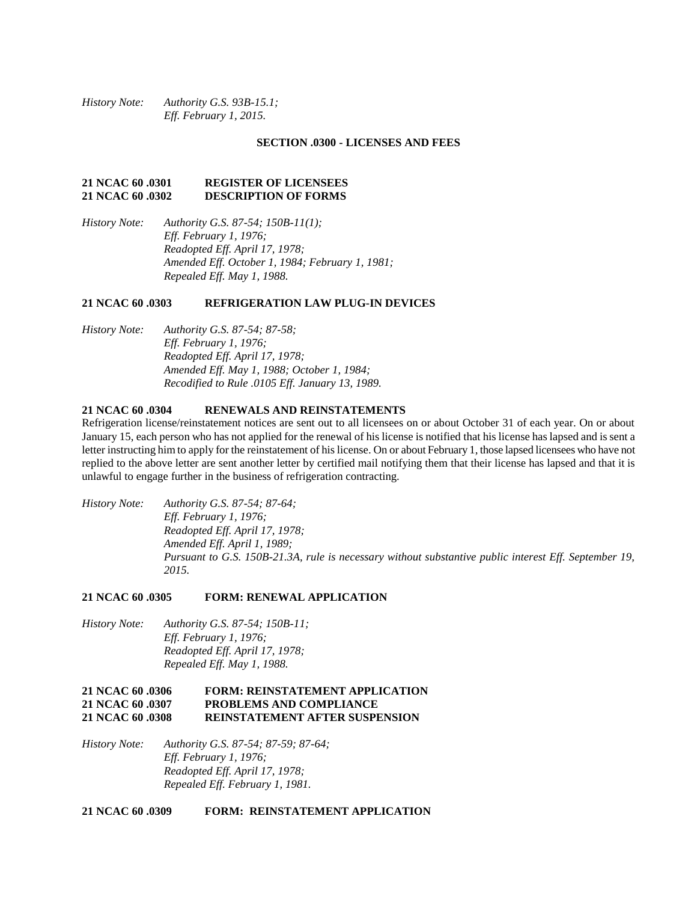*History Note: Authority G.S. 93B-15.1; Eff. February 1, 2015.*

#### **SECTION .0300 - LICENSES AND FEES**

### **21 NCAC 60 .0301 REGISTER OF LICENSEES 21 NCAC 60 .0302 DESCRIPTION OF FORMS**

*History Note: Authority G.S. 87-54; 150B-11(1); Eff. February 1, 1976; Readopted Eff. April 17, 1978; Amended Eff. October 1, 1984; February 1, 1981; Repealed Eff. May 1, 1988.*

#### **21 NCAC 60 .0303 REFRIGERATION LAW PLUG-IN DEVICES**

*History Note: Authority G.S. 87-54; 87-58; Eff. February 1, 1976; Readopted Eff. April 17, 1978; Amended Eff. May 1, 1988; October 1, 1984; Recodified to Rule .0105 Eff. January 13, 1989.*

### **21 NCAC 60 .0304 RENEWALS AND REINSTATEMENTS**

Refrigeration license/reinstatement notices are sent out to all licensees on or about October 31 of each year. On or about January 15, each person who has not applied for the renewal of his license is notified that his license has lapsed and is sent a letter instructing him to apply for the reinstatement of his license. On or about February 1, those lapsed licensees who have not replied to the above letter are sent another letter by certified mail notifying them that their license has lapsed and that it is unlawful to engage further in the business of refrigeration contracting.

*History Note: Authority G.S. 87-54; 87-64; Eff. February 1, 1976; Readopted Eff. April 17, 1978; Amended Eff. April 1, 1989; Pursuant to G.S. 150B-21.3A, rule is necessary without substantive public interest Eff. September 19, 2015.*

#### **21 NCAC 60 .0305 FORM: RENEWAL APPLICATION**

*History Note: Authority G.S. 87-54; 150B-11; Eff. February 1, 1976; Readopted Eff. April 17, 1978; Repealed Eff. May 1, 1988.*

# **21 NCAC 60 .0306 FORM: REINSTATEMENT APPLICATION 21 NCAC 60 .0307 PROBLEMS AND COMPLIANCE 21 NCAC 60 .0308 REINSTATEMENT AFTER SUSPENSION**

*History Note: Authority G.S. 87-54; 87-59; 87-64; Eff. February 1, 1976; Readopted Eff. April 17, 1978; Repealed Eff. February 1, 1981.*

**21 NCAC 60 .0309 FORM: REINSTATEMENT APPLICATION**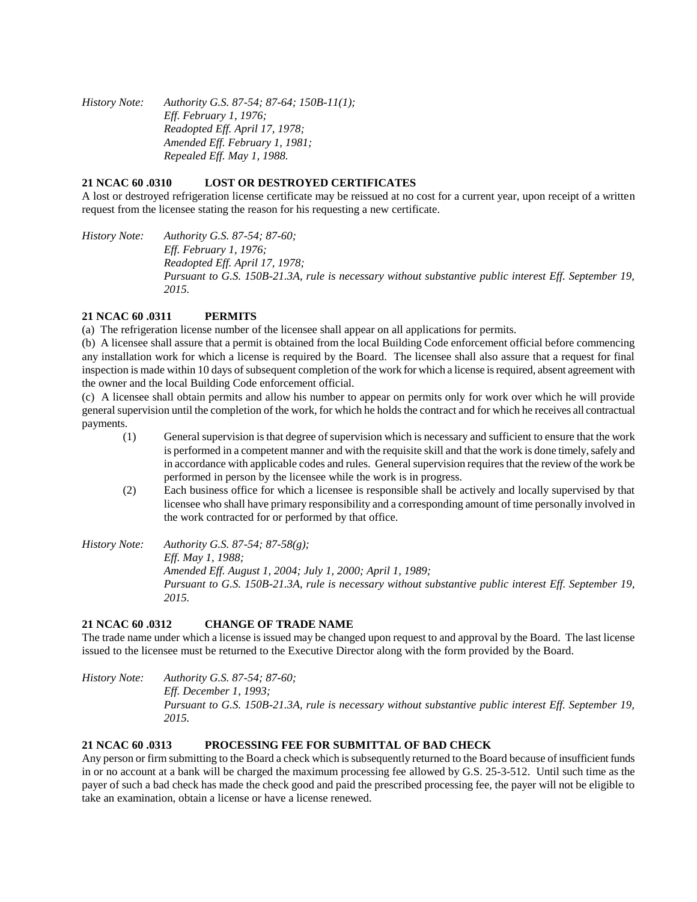*History Note: Authority G.S. 87-54; 87-64; 150B-11(1); Eff. February 1, 1976; Readopted Eff. April 17, 1978; Amended Eff. February 1, 1981; Repealed Eff. May 1, 1988.*

## **21 NCAC 60 .0310 LOST OR DESTROYED CERTIFICATES**

A lost or destroyed refrigeration license certificate may be reissued at no cost for a current year, upon receipt of a written request from the licensee stating the reason for his requesting a new certificate.

*History Note: Authority G.S. 87-54; 87-60; Eff. February 1, 1976; Readopted Eff. April 17, 1978; Pursuant to G.S. 150B-21.3A, rule is necessary without substantive public interest Eff. September 19, 2015.*

# **21 NCAC 60 .0311 PERMITS**

(a) The refrigeration license number of the licensee shall appear on all applications for permits.

(b) A licensee shall assure that a permit is obtained from the local Building Code enforcement official before commencing any installation work for which a license is required by the Board. The licensee shall also assure that a request for final inspection is made within 10 days of subsequent completion of the work for which a license is required, absent agreement with the owner and the local Building Code enforcement official.

(c) A licensee shall obtain permits and allow his number to appear on permits only for work over which he will provide general supervision until the completion of the work, for which he holds the contract and for which he receives all contractual payments.

- (1) General supervision is that degree of supervision which is necessary and sufficient to ensure that the work is performed in a competent manner and with the requisite skill and that the work is done timely, safely and in accordance with applicable codes and rules. General supervision requires that the review of the work be performed in person by the licensee while the work is in progress.
- (2) Each business office for which a licensee is responsible shall be actively and locally supervised by that licensee who shall have primary responsibility and a corresponding amount of time personally involved in the work contracted for or performed by that office.

*History Note: Authority G.S. 87-54; 87-58(g); Eff. May 1, 1988; Amended Eff. August 1, 2004; July 1, 2000; April 1, 1989; Pursuant to G.S. 150B-21.3A, rule is necessary without substantive public interest Eff. September 19, 2015.*

# **21 NCAC 60 .0312 CHANGE OF TRADE NAME**

The trade name under which a license is issued may be changed upon request to and approval by the Board. The last license issued to the licensee must be returned to the Executive Director along with the form provided by the Board.

*History Note: Authority G.S. 87-54; 87-60; Eff. December 1, 1993; Pursuant to G.S. 150B-21.3A, rule is necessary without substantive public interest Eff. September 19, 2015.*

# **21 NCAC 60 .0313 PROCESSING FEE FOR SUBMITTAL OF BAD CHECK**

Any person or firm submitting to the Board a check which is subsequently returned to the Board because of insufficient funds in or no account at a bank will be charged the maximum processing fee allowed by G.S. 25-3-512. Until such time as the payer of such a bad check has made the check good and paid the prescribed processing fee, the payer will not be eligible to take an examination, obtain a license or have a license renewed.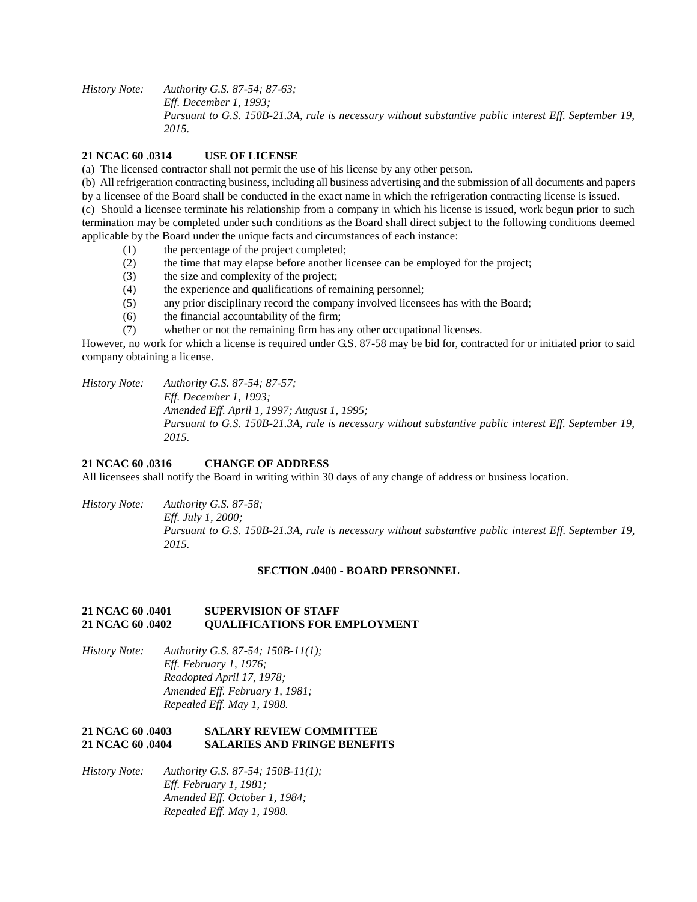*History Note: Authority G.S. 87-54; 87-63; Eff. December 1, 1993; Pursuant to G.S. 150B-21.3A, rule is necessary without substantive public interest Eff. September 19, 2015.*

## **21 NCAC 60 .0314 USE OF LICENSE**

(a) The licensed contractor shall not permit the use of his license by any other person.

(b) All refrigeration contracting business, including all business advertising and the submission of all documents and papers by a licensee of the Board shall be conducted in the exact name in which the refrigeration contracting license is issued. (c) Should a licensee terminate his relationship from a company in which his license is issued, work begun prior to such termination may be completed under such conditions as the Board shall direct subject to the following conditions deemed

- applicable by the Board under the unique facts and circumstances of each instance:
	- (1) the percentage of the project completed;
	- (2) the time that may elapse before another licensee can be employed for the project;
	- (3) the size and complexity of the project;
	- (4) the experience and qualifications of remaining personnel;
	- (5) any prior disciplinary record the company involved licensees has with the Board;
	- (6) the financial accountability of the firm;
	- (7) whether or not the remaining firm has any other occupational licenses.

However, no work for which a license is required under G.S. 87-58 may be bid for, contracted for or initiated prior to said company obtaining a license.

*History Note: Authority G.S. 87-54; 87-57; Eff. December 1, 1993; Amended Eff. April 1, 1997; August 1, 1995; Pursuant to G.S. 150B-21.3A, rule is necessary without substantive public interest Eff. September 19, 2015.*

### **21 NCAC 60 .0316 CHANGE OF ADDRESS**

All licensees shall notify the Board in writing within 30 days of any change of address or business location.

*History Note: Authority G.S. 87-58;*

*Eff. July 1, 2000; Pursuant to G.S. 150B-21.3A, rule is necessary without substantive public interest Eff. September 19, 2015.*

#### **SECTION .0400 - BOARD PERSONNEL**

### **21 NCAC 60 .0401 SUPERVISION OF STAFF 21 NCAC 60 .0402 QUALIFICATIONS FOR EMPLOYMENT**

*History Note: Authority G.S. 87-54; 150B-11(1); Eff. February 1, 1976; Readopted April 17, 1978; Amended Eff. February 1, 1981; Repealed Eff. May 1, 1988.*

## **21 NCAC 60 .0403 SALARY REVIEW COMMITTEE 21 NO 21 AND FRINGE BENEFITS**

*History Note: Authority G.S. 87-54; 150B-11(1); Eff. February 1, 1981; Amended Eff. October 1, 1984; Repealed Eff. May 1, 1988.*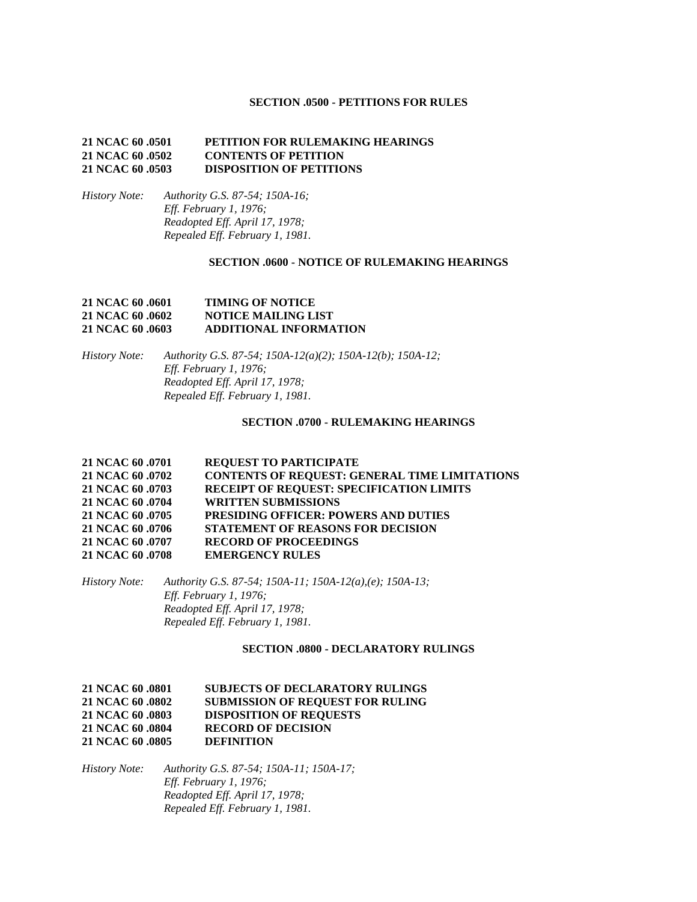### **SECTION .0500 - PETITIONS FOR RULES**

### **21 NCAC 60 .0501 PETITION FOR RULEMAKING HEARINGS 21 NCAC 60 .0502 CONTENTS OF PETITION 21 NCAC 60 .0503 DISPOSITION OF PETITIONS**

*History Note: Authority G.S. 87-54; 150A-16; Eff. February 1, 1976; Readopted Eff. April 17, 1978; Repealed Eff. February 1, 1981.*

### **SECTION .0600 - NOTICE OF RULEMAKING HEARINGS**

## **21 NCAC 60 .0601 TIMING OF NOTICE 21 NCAC 60 .0602 NOTICE MAILING LIST 21 NCAC 60 .0603 ADDITIONAL INFORMATION**

*History Note: Authority G.S. 87-54; 150A-12(a)(2); 150A-12(b); 150A-12; Eff. February 1, 1976; Readopted Eff. April 17, 1978; Repealed Eff. February 1, 1981.*

#### **SECTION .0700 - RULEMAKING HEARINGS**

| 21 NCAC 60 .0701 | <b>REQUEST TO PARTICIPATE</b>                        |
|------------------|------------------------------------------------------|
| 21 NCAC 60 .0702 | <b>CONTENTS OF REQUEST: GENERAL TIME LIMITATIONS</b> |
| 21 NCAC 60 .0703 | RECEIPT OF REQUEST: SPECIFICATION LIMITS             |
| 21 NCAC 60 .0704 | <b>WRITTEN SUBMISSIONS</b>                           |
| 21 NCAC 60 .0705 | PRESIDING OFFICER: POWERS AND DUTIES                 |
| 21 NCAC 60 .0706 | <b>STATEMENT OF REASONS FOR DECISION</b>             |
| 21 NCAC 60 .0707 | <b>RECORD OF PROCEEDINGS</b>                         |
| 21 NCAC 60 .0708 | <b>EMERGENCY RULES</b>                               |

*History Note: Authority G.S. 87-54; 150A-11; 150A-12(a),(e); 150A-13; Eff. February 1, 1976; Readopted Eff. April 17, 1978; Repealed Eff. February 1, 1981.*

#### **SECTION .0800 - DECLARATORY RULINGS**

## **21 NCAC 60 .0801 SUBJECTS OF DECLARATORY RULINGS 21 NCAC 60 .0802 SUBMISSION OF REQUEST FOR RULING 21 NCAC 60 .0803 DISPOSITION OF REQUESTS 21 NCAC 60 .0804 RECORD OF DECISION 21 NCAC 60 .0805 DEFINITION**

*History Note: Authority G.S. 87-54; 150A-11; 150A-17; Eff. February 1, 1976; Readopted Eff. April 17, 1978; Repealed Eff. February 1, 1981.*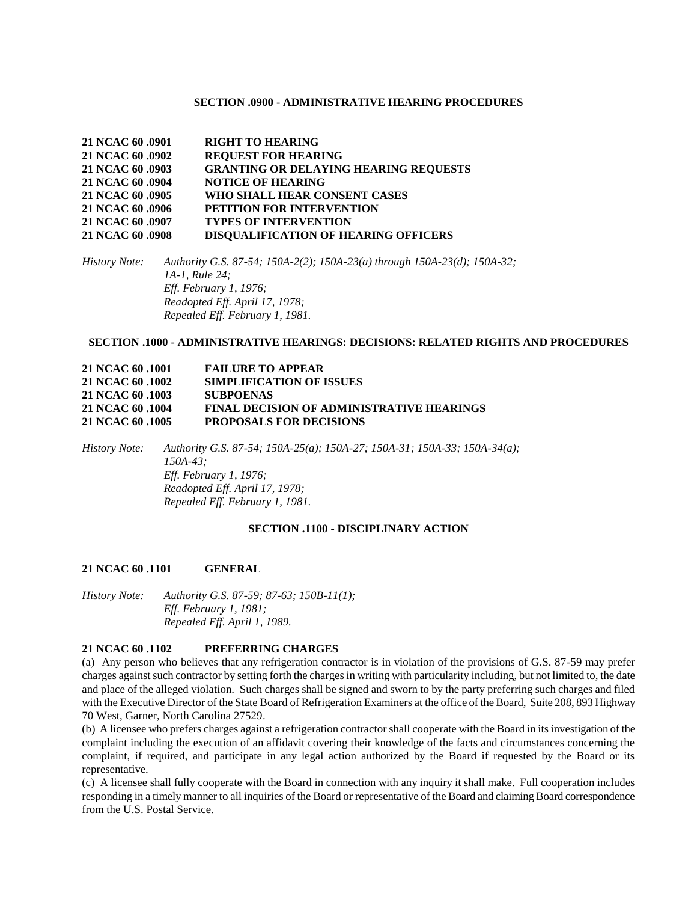#### **SECTION .0900 - ADMINISTRATIVE HEARING PROCEDURES**

| 21 NCAC 60 .0901 | <b>RIGHT TO HEARING</b>                      |
|------------------|----------------------------------------------|
| 21 NCAC 60 .0902 | <b>REQUEST FOR HEARING</b>                   |
| 21 NCAC 60 .0903 | <b>GRANTING OR DELAYING HEARING REQUESTS</b> |
| 21 NCAC 60 .0904 | <b>NOTICE OF HEARING</b>                     |
| 21 NCAC 60 .0905 | WHO SHALL HEAR CONSENT CASES                 |
| 21 NCAC 60 .0906 | PETITION FOR INTERVENTION                    |
| 21 NCAC 60 .0907 | <b>TYPES OF INTERVENTION</b>                 |
| 21 NCAC 60 .0908 | <b>DISQUALIFICATION OF HEARING OFFICERS</b>  |

*History Note: Authority G.S. 87-54; 150A-2(2); 150A-23(a) through 150A-23(d); 150A-32; 1A-1, Rule 24; Eff. February 1, 1976; Readopted Eff. April 17, 1978; Repealed Eff. February 1, 1981.*

#### **SECTION .1000 - ADMINISTRATIVE HEARINGS: DECISIONS: RELATED RIGHTS AND PROCEDURES**

| 21 NCAC 60 .1001 | <b>FAILURE TO APPEAR</b>                         |
|------------------|--------------------------------------------------|
| 21 NCAC 60 .1002 | <b>SIMPLIFICATION OF ISSUES</b>                  |
| 21 NCAC 60 .1003 | <b>SUBPOENAS</b>                                 |
| 21 NCAC 60 .1004 | <b>FINAL DECISION OF ADMINISTRATIVE HEARINGS</b> |
| 21 NCAC 60 .1005 | <b>PROPOSALS FOR DECISIONS</b>                   |

*History Note: Authority G.S. 87-54; 150A-25(a); 150A-27; 150A-31; 150A-33; 150A-34(a); 150A-43; Eff. February 1, 1976; Readopted Eff. April 17, 1978; Repealed Eff. February 1, 1981.*

### **SECTION .1100 - DISCIPLINARY ACTION**

#### **21 NCAC 60 .1101 GENERAL**

*History Note: Authority G.S. 87-59; 87-63; 150B-11(1); Eff. February 1, 1981; Repealed Eff. April 1, 1989.*

#### **21 NCAC 60 .1102 PREFERRING CHARGES**

(a) Any person who believes that any refrigeration contractor is in violation of the provisions of G.S. 87-59 may prefer charges against such contractor by setting forth the charges in writing with particularity including, but not limited to, the date and place of the alleged violation. Such charges shall be signed and sworn to by the party preferring such charges and filed with the Executive Director of the State Board of Refrigeration Examiners at the office of the Board, Suite 208, 893 Highway 70 West, Garner, North Carolina 27529.

(b) A licensee who prefers charges against a refrigeration contractor shall cooperate with the Board in its investigation of the complaint including the execution of an affidavit covering their knowledge of the facts and circumstances concerning the complaint, if required, and participate in any legal action authorized by the Board if requested by the Board or its representative.

(c) A licensee shall fully cooperate with the Board in connection with any inquiry it shall make. Full cooperation includes responding in a timely manner to all inquiries of the Board or representative of the Board and claiming Board correspondence from the U.S. Postal Service.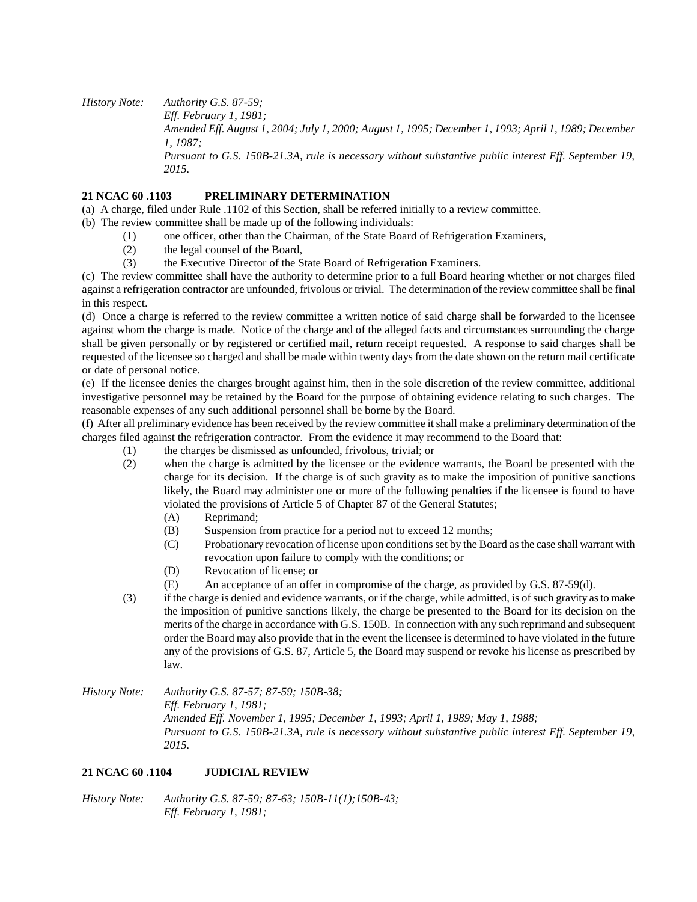*History Note: Authority G.S. 87-59; Eff. February 1, 1981; Amended Eff. August 1, 2004; July 1, 2000; August 1, 1995; December 1, 1993; April 1, 1989; December 1, 1987; Pursuant to G.S. 150B-21.3A, rule is necessary without substantive public interest Eff. September 19, 2015.*

# **21 NCAC 60 .1103 PRELIMINARY DETERMINATION**

(a) A charge, filed under Rule .1102 of this Section, shall be referred initially to a review committee.

- (b) The review committee shall be made up of the following individuals:
	- (1) one officer, other than the Chairman, of the State Board of Refrigeration Examiners,
	- (2) the legal counsel of the Board,
	- (3) the Executive Director of the State Board of Refrigeration Examiners.

(c) The review committee shall have the authority to determine prior to a full Board hearing whether or not charges filed against a refrigeration contractor are unfounded, frivolous or trivial. The determination of the review committee shall be final in this respect.

(d) Once a charge is referred to the review committee a written notice of said charge shall be forwarded to the licensee against whom the charge is made. Notice of the charge and of the alleged facts and circumstances surrounding the charge shall be given personally or by registered or certified mail, return receipt requested. A response to said charges shall be requested of the licensee so charged and shall be made within twenty days from the date shown on the return mail certificate or date of personal notice.

(e) If the licensee denies the charges brought against him, then in the sole discretion of the review committee, additional investigative personnel may be retained by the Board for the purpose of obtaining evidence relating to such charges. The reasonable expenses of any such additional personnel shall be borne by the Board.

(f) After all preliminary evidence has been received by the review committee it shall make a preliminary determination of the charges filed against the refrigeration contractor. From the evidence it may recommend to the Board that:

- (1) the charges be dismissed as unfounded, frivolous, trivial; or
- (2) when the charge is admitted by the licensee or the evidence warrants, the Board be presented with the charge for its decision. If the charge is of such gravity as to make the imposition of punitive sanctions likely, the Board may administer one or more of the following penalties if the licensee is found to have violated the provisions of Article 5 of Chapter 87 of the General Statutes;
	- (A) Reprimand;
	- (B) Suspension from practice for a period not to exceed 12 months;
	- (C) Probationary revocation of license upon conditions set by the Board as the case shall warrant with revocation upon failure to comply with the conditions; or
	- (D) Revocation of license; or
	- (E) An acceptance of an offer in compromise of the charge, as provided by G.S. 87-59(d).
- (3) if the charge is denied and evidence warrants, or if the charge, while admitted, is of such gravity as to make the imposition of punitive sanctions likely, the charge be presented to the Board for its decision on the merits of the charge in accordance with G.S. 150B. In connection with any such reprimand and subsequent order the Board may also provide that in the event the licensee is determined to have violated in the future any of the provisions of G.S. 87, Article 5, the Board may suspend or revoke his license as prescribed by law.

# **21 NCAC 60 .1104 JUDICIAL REVIEW**

*History Note: Authority G.S. 87-59; 87-63; 150B-11(1);150B-43; Eff. February 1, 1981;*

*History Note: Authority G.S. 87-57; 87-59; 150B-38; Eff. February 1, 1981; Amended Eff. November 1, 1995; December 1, 1993; April 1, 1989; May 1, 1988; Pursuant to G.S. 150B-21.3A, rule is necessary without substantive public interest Eff. September 19, 2015.*